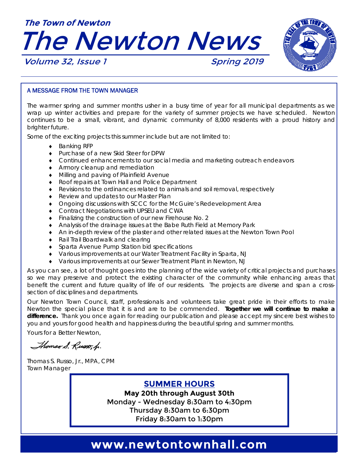



#### A MESSAGE FROM THE TOWN MANAGER

The warmer spring and summer months usher in a busy time of year for all municipal departments as we wrap up winter activities and prepare for the variety of summer projects we have scheduled. Newton continues to be a small, vibrant, and dynamic community of 8,000 residents with a proud history and brighter future.

Some of the exciting projects this summer include but are not limited to:

- ◆ Banking RFP
- ◆ Purchase of a new Skid Steer for DPW
- Continued enhancements to our social media and marketing outreach endeavors
- **Armory cleanup and remediation**
- Milling and paving of Plainfield Avenue
- ◆ Roof repairs at Town Hall and Police Department
- Revisions to the ordinances related to animals and soil removal, respectively
- ◆ Review and updates to our Master Plan
- Ongoing discussions with SCCC for the McGuire's Redevelopment Area
- ◆ Contract Negotiations with UPSEU and CWA
- Finalizing the construction of our new Firehouse No. 2
- Analysis of the drainage issues at the Babe Ruth Field at Memory Park
- An in-depth review of the plaster and other related issues at the Newton Town Pool
- ◆ Rail Trail Boardwalk and clearing
- Sparta Avenue Pump Station bid specifications
- Various improvements at our Water Treatment Facility in Sparta, NJ
- Various improvements at our Sewer Treatment Plant in Newton, NJ

As you can see, a lot of thought goes into the planning of the wide variety of critical projects and purchases so we may preserve and protect the existing character of the community while enhancing areas that benefit the current and future quality of life of our residents. The projects are diverse and span a crosssection of disciplines and departments.

Our Newton Town Council, staff, professionals and volunteers take great pride in their efforts to make Newton the special place that it is and are to be commended. **Together we will continue to make a difference.** Thank you once again for reading our publication and please accept my sincere best wishes to you and yours for good health and happiness during the beautiful spring and summer months.

Yours for a Better Newton,

Thomas S. Russo, h.

Thomas S. Russo, Jr., MPA, CPM Town Manager

**SUMMER HOURS** 

**May 20th through August 30th**  Monday - Wednesday 8:30am to 4:30pm Thursday 8:30am to 6:30pm Friday 8:30am to 1:30pm

### www.newtontownhall.com **www.newtontownhall.com**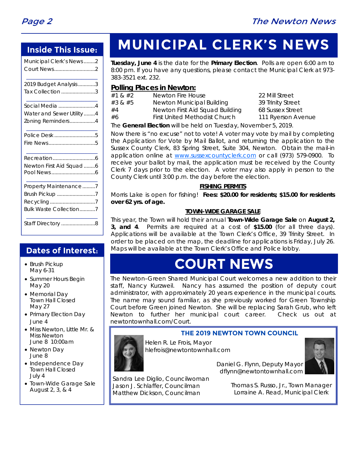

### **Inside This Issue:**

| Municipal Clerk's News2 |
|-------------------------|
|                         |

| 2019 Budget Analysis 3   |  |
|--------------------------|--|
| Tax Collection 3         |  |
| Social Media 4           |  |
| Water and Sewer Utility4 |  |
| Zoning Reminders4        |  |
| Police Desk 5            |  |
|                          |  |
|                          |  |
| Newton First Aid Squad 6 |  |
|                          |  |
| Property Maintenance7    |  |
| Brush Pickup 7           |  |
|                          |  |
| Bulk Waste Collection7   |  |
| Staff Directory 8        |  |
|                          |  |

### **Dates of Interest:**

- Brush Pickup May 6-31
- Summer Hours Begin May 20
- Memorial Day Town Hall Closed May 27
- Primary Election Day June 4
- Miss Newton, Little Mr. & Miss Newton June 8 10:00am
- Newton Dav June 8
- Independence Day Town Hall Closed July 4
- Town-Wide Garage Sale August 2, 3, & 4

# **MUNICIPAL CLERK'S NEWS**

**Tuesday, June 4** is the date for the **Primary Election**. Polls are open 6:00 am to 8:00 pm. If you have any questions, please contact the Municipal Clerk at 973- 383-3521 ext. 232.

#### **Polling Places in Newton:**

| The $\bigcap$ construction of the set of the set of the set of the set of $\bigcap$ $\bigcap$ |                                      |                    |  |  |
|-----------------------------------------------------------------------------------------------|--------------------------------------|--------------------|--|--|
| #6                                                                                            | <b>First United Methodist Church</b> | 111 Ryerson Avenue |  |  |
| #4                                                                                            | Newton First Aid Squad Building      | 68 Sussex Street   |  |  |
| #3 & #5                                                                                       | Newton Municipal Building            | 39 Trinity Street  |  |  |
| #1 & #2                                                                                       | Newton Fire House                    | 22 Mill Street     |  |  |

The **General Election** will be held on Tuesday, November 5, 2019.

Now there is "no excuse" not to vote! A voter may vote by mail by completing the Application for Vote by Mail Ballot, and returning the application to the Sussex County Clerk, 83 Spring Street, Suite 304, Newton. Obtain the mail-in application online at www.sussexcountyclerk.com or call (973) 579-0900. To receive your ballot by mail, the application must be received by the County Clerk 7 days prior to the election. A voter may also apply in person to the County Clerk until 3:00 p.m. the day before the election.

#### **FISHING PERMITS**

Morris Lake is open for fishing! **Fees: \$20.00 for residents; \$15.00 for residents over 62 yrs. of age.**

#### **TOWN-WIDE GARAGE SALE**

This year, the Town will hold their annual **Town-Wide Garage Sale** on **August 2, 3, and 4**. Permits are required at a cost of **\$15.00** (for all three days). Applications will be available at the Town Clerk's Office, 39 Trinity Street. In order to be placed on the map, the deadline for applications is Friday, July 26. Maps will be available at the Town Clerk's Office and Police lobby.

## **COURT NEWS**

The Newton–Green Shared Municipal Court welcomes a new addition to their staff, Nancy Kurzweil. Nancy has assumed the position of deputy court administrator, with approximately 20 years experience in the municipal courts. The name may sound familiar, as she previously worked for Green Township Court before Green joined Newton. She will be replacing Sarah Grub, who left Newton to further her municipal court career. Check us out at newtontownhall.com/Court.

### **THE 2019 NEWTON TOWN COUNCIL**

Helen R. Le Frois, Mayor hlefrois@newtontownhall.com



 Daniel G. Flynn, Deputy Mayor dflynn@newtontownhall.com

Sandra Lee Diglio, Councilwoman Jason J. Schlaffer, Councilman Matthew Dickson, Councilman

Thomas S. Russo, Jr., Town Manager Lorraine A. Read, Municipal Clerk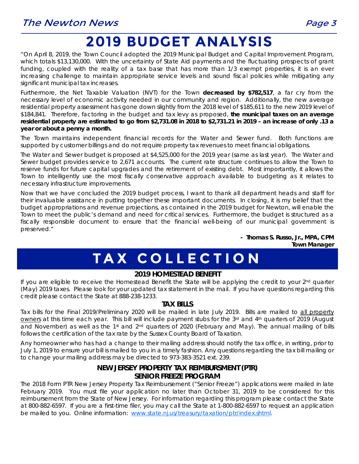## **2019 BUDGET ANALYSIS**

"On April 8, 2019, the Town Council adopted the 2019 Municipal Budget and Capital Improvement Program, which totals \$13,130,000. With the uncertainty of State Aid payments and the fluctuating prospects of grant funding, coupled with the reality of a tax base that has more than 1/3 exempt properties, it is an ever increasing challenge to maintain appropriate service levels and sound fiscal policies while mitigating any significant municipal tax increases.

Furthermore, the Net Taxable Valuation (NVT) for the Town **decreased by \$782,517**, a far cry from the necessary level of economic activity needed in our community and region. Additionally, the new average residential property assessment has gone down slightly from the 2018 level of \$185,611 to the new 2019 level of \$184,841. Therefore, factoring in the budget and tax levy as proposed, **the municipal taxes on an average residential property are estimated to go from \$2,731.08 in 2018 to \$2,731.21 in 2019 – an increase of only .13 a year or about a penny a month.** 

The Town maintains independent financial records for the Water and Sewer fund. Both functions are supported by customer billings and do not require property tax revenues to meet financial obligations.

The Water and Sewer budget is proposed at \$4,525,000 for the 2019 year (same as last year). The Water and Sewer budget provides service to 2,671 accounts. The current rate structure continues to allow the Town to reserve funds for future capital upgrades and the retirement of existing debt. Most importantly, it allows the Town to intelligently use the most fiscally conservative approach available to budgeting as it relates to necessary infrastructure improvements.

Now that we have concluded the 2019 budget process, I want to thank all department heads and staff for their invaluable assistance in putting together these important documents. In closing, it is my belief that the budget appropriations and revenue projections, as contained in the 2019 budget for Newton, will enable the Town to meet the public's demand and need for critical services. Furthermore, the budget is structured as a fiscally responsible document to ensure that the financial well-being of our municipal government is preserved."

> **- Thomas S. Russo, Jr., MPA, CPM Town Manager**

# **TAX COLLECTION**

#### **2019 HOMESTEAD BENEFIT**

If you are eligible to receive the Homestead Benefit the State will be applying the credit to your 2<sup>nd</sup> quarter (May) 2019 taxes. Please look for your updated tax statement in the mail. If you have questions regarding this credit please contact the State at 888-238-1233.

#### **TAX BILLS**

Tax bills for the Final 2019/Preliminary 2020 will be mailed in late July 2019. Bills are mailed to all property owners at this time each year. This bill will include payment stubs for the 3rd and 4th quarters of 2019 (August and November) as well as the 1<sup>st</sup> and 2<sup>nd</sup> quarters of 2020 (February and May). The annual mailing of bills follows the certification of the tax rate by the Sussex County Board of Taxation.

Any homeowner who has had a change to their mailing address should notify the tax office, in writing, prior to July 1, 2019 to ensure your bill is mailed to you in a timely fashion. Any questions regarding the tax bill mailing or to change your mailing address may be directed to 973-383-3521 ext. 239.

### **NEW JERSEY PROPERTY TAX REIMBURSMENT (PTR) SENIOR FREEZE PROGRAM**

The 2018 Form PTR New Jersey Property Tax Reimbursement ("Senior Freeze") applications were mailed in late February 2019. You must file your application no later than October 31, 2019 to be considered for this reimbursement from the State of New Jersey. For information regarding this program please contact the State at 800-882-6597. If you are a first-time filer, you may call the State at 1-800-882-6597 to request an application be mailed to you. Online information: www.state.nj.us/treasury/taxation/ptr/index.shtml.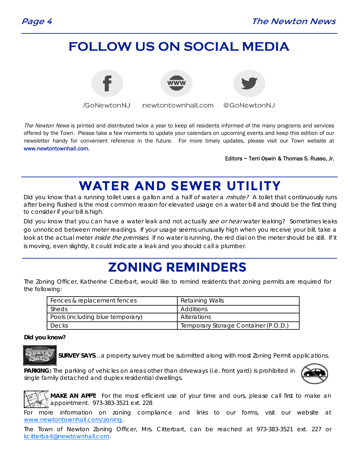### **FOLLOW US ON SOCIAL MEDIA**



/GoNewtonNJ

newtontownhall.com



@GoNewtonNJ

The Newton News is printed and distributed twice a year to keep all residents informed of the many programs and services offered by the Town. Please take a few moments to update your calendars on upcoming events and keep this edition of our newsletter handy for convenient reference in the future. For more timely updates, please visit our Town website at www.newtontownhall.com.

Editors ~ Terri Oswin & Thomas S. Russo, Jr.

### **WATER AND SEWER UTILITY**

Did you know that a running toilet uses a gallon and a half of water a minute? A toilet that continuously runs after being flushed is the most common reason for elevated usage on a water bill and should be the first thing to consider if your bill is high.

Did you know that you can have a water leak and not actually see or hear water leaking? Sometimes leaks go unnoticed between meter readings. If your usage seems unusually high when you receive your bill, take a look at the actual meter *inside the premises*. If no water is running, the red dial on the meter should be still. If it is moving, even slightly, it could indicate a leak and you should call a plumber.

### **ZONING REMINDERS**

The Zoning Officer, Katherine Citterbart, would like to remind residents that zoning permits are required for the following:

| Fences & replacement fences      | <b>Retaining Walls</b>               |
|----------------------------------|--------------------------------------|
| Sheds                            | Additions                            |
| Pools (including blue temporary) | Alterations                          |
| Decks                            | Temporary Storage Container (P.O.D.) |

**Did you know?** 



**SURVEY SAYS**…a property survey must be submitted along with most Zoning Permit applications.

**PARKING:** The parking of vehicles on areas other than driveways (i.e. front yard) is prohibited in single family detached and duplex residential dwellings.



**MAKE AN APPT:** For the most efficient use of your time and ours, please call first to make an appointment. 973-383-3521 ext. 228

For more information on zoning compliance and links to our forms, visit our website at www.newtontownhall.com/zoning.

The Town of Newton Zoning Officer, Mrs. Citterbart, can be reached at 973-383-3521 ext. 227 or kcitterbart@newtownhall.com.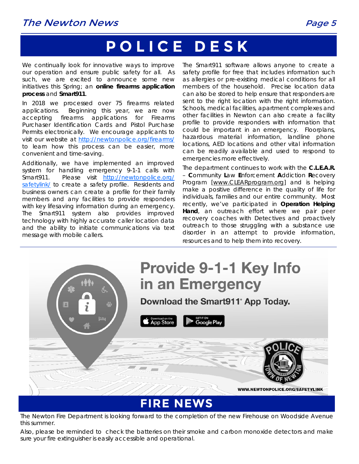### The Newton News **Page 5**

# **POLICE DESK**

We continually look for innovative ways to improve our operation and ensure public safety for all. As such, we are excited to announce some new initiatives this Spring; an **online firearms application process** and **Smart911**.

In 2018 we processed over 75 firearms related applications. Beginning this year, we are now accepting firearms applications for Firearms Purchaser Identification Cards and Pistol Purchase Permits electronically. We encourage applicants to visit our website at http://newtonpolice.org/firearms/ to learn how this process can be easier, more convenient and time-saving.

Additionally, we have implemented an improved system for handling emergency 9-1-1 calls with Smart911. Please visit http://newtonpolice.org/ safetylink/ to create a safety profile. Residents and business owners can create a profile for their family members and any facilities to provide responders with key lifesaving information during an emergency. The Smart911 system also provides improved technology with highly accurate caller location data and the ability to initiate communications via text message with mobile callers.

The Smart911 software allows anyone to create a safety profile for free that includes information such as allergies or pre-existing medical conditions for all members of the household. Precise location data can also be stored to help ensure that responders are sent to the right location with the right information. Schools, medical facilities, apartment complexes and other facilities in Newton can also create a facility profile to provide responders with information that could be important in an emergency. Floorplans, hazardous material information, landline phone locations, AED locations and other vital information can be readily available and used to respond to emergencies more effectively.

The department continues to work with the **C.L.E.A.R.** – **C**ommunity **L**aw **E**nforcement **A**ddiction **R**ecovery Program [www.CLEARprogram.org] and is helping make a positive difference in the quality of life for individuals, families and our entire community. Most recently, we've participated in **Operation Helping Hand**, an outreach effort where we pair peer recovery coaches with Detectives and proactively outreach to those struggling with a substance use disorder in an attempt to provide information, resources and to help them into recovery.



The Newton Fire Department is looking forward to the completion of the new Firehouse on Woodside Avenue this summer.

Also, please be reminded to check the batteries on their smoke and carbon monoxide detectors and make sure your fire extinguisher is easily accessible and operational.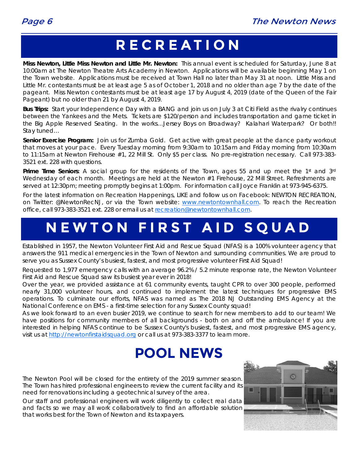## **RECREATION**

**Miss Newton, Little Miss Newton and Little Mr. Newton:** This annual event is scheduled for Saturday, June 8 at 10:00am at The Newton Theatre Arts Academy in Newton. Applications will be available beginning May 1 on the Town website. Applications must be received at Town Hall no later than May 31 at noon. Little Miss and Little Mr. contestants must be at least age 5 as of October 1, 2018 and no older than age 7 by the date of the pageant. Miss Newton contestants must be at least age 17 by August 4, 2019 (date of the Queen of the Fair Pageant) but no older than 21 by August 4, 2019.

**Bus Trips:** Start your Independence Day with a BANG and join us on July 3 at Citi Field as the rivalry continues between the Yankees and the Mets. Tickets are \$120/person and includes transportation and game ticket in the Big Apple Reserved Seating. In the works…Jersey Boys on Broadway? Kalahari Waterpark? Or both!! Stay tuned…

**Senior Exercise Program:** Join us for Zumba Gold. Get active with great people at the dance party workout that moves at your pace. Every Tuesday morning from 9:30am to 10:15am and Friday morning from 10:30am to 11:15am at Newton Firehouse #1, 22 Mill St. Only \$5 per class. No pre-registration necessary. Call 973-383- 3521 ext. 228 with questions.

**Prime Time Seniors**: A social group for the residents of the Town, ages 55 and up meet the 1st and 3rd Wednesday of each month. Meetings are held at the Newton #1 Firehouse, 22 Mill Street. Refreshments are served at 12:30pm; meeting promptly begins at 1:00pm. For information call Joyce Franklin at 973-945-6375.

For the latest information on Recreation Happenings, LIKE and follow us on Facebook: NEWTON RECREATION, on Twitter: @NewtonRecNJ, or via the Town website: www.newtontownhall.com. To reach the Recreation office, call 973-383-3521 ext. 228 or email us at recreation@newtontownhall.com.

## **NEWTON FIRST AID SQUAD**

Established in 1957, the Newton Volunteer First Aid and Rescue Squad (NFAS) is a 100% volunteer agency that answers the 911 medical emergencies in the Town of Newton and surrounding communities. We are proud to serve you as Sussex County's busiest, fastest, and most progressive volunteer First Aid Squad!

Requested to 1,977 emergency calls with an average 96.2% / 5.2 minute response rate, the Newton Volunteer First Aid and Rescue Squad saw its busiest year ever in 2018!

Over the year, we provided assistance at 61 community events, taught CPR to over 300 people, performed nearly 31,000 volunteer hours, and continued to implement the latest techniques for progressive EMS operations. To culminate our efforts, NFAS was named as The 2018 NJ Outstanding EMS Agency at the National Conference on EMS - a first-time selection for any Sussex County squad!

As we look forward to an even busier 2019, we continue to search for new members to add to our team! We have positions for community members of all backgrounds - both on and off the ambulance! If you are interested in helping NFAS continue to be Sussex County's busiest, fastest, and most progressive EMS agency, visit us at http://newtonfirstaidsquad.org or call us at 973-383-3377 to learn more.

## **POOL NEWS**

The Newton Pool will be closed for the entirety of the 2019 summer season. The Town has hired professional engineers to review the current facility and its need for renovations including a geotechnical survey of the area.

Our staff and professional engineers will work diligently to collect real data and facts so we may all work collaboratively to find an affordable solution that works best for the Town of Newton and its taxpayers.

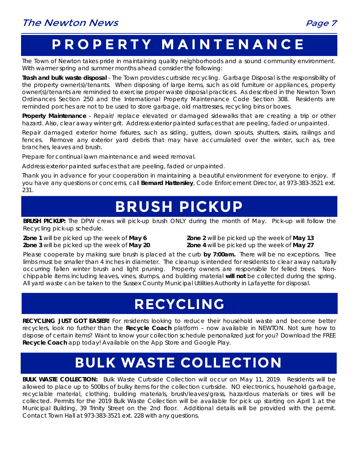## **PROPERTY MAINTENANCE**

The Town of Newton takes pride in maintaining quality neighborhoods and a sound community environment. With warmer spring and summer months ahead consider the following:

**Trash and bulk waste disposal** - The Town provides curbside recycling. Garbage Disposal is the responsibility of the property owner(s)/tenants. When disposing of large items, such as old furniture or appliances, property owner(s)/tenants are reminded to exercise proper waste disposal practices. As described in the Newton Town Ordinances Section 250 and the International Property Maintenance Code Section 308. Residents are reminded porches are not to be used to store garbage, old mattresses, recycling bins or boxes.

**Property Maintenance** - Repair/ replace elevated or damaged sidewalks that are creating a trip or other hazard. Also, clear away winter grit. Address exterior painted surfaces that are peeling, faded or unpainted.

Repair damaged exterior home fixtures, such as siding, gutters, down spouts, shutters, stairs, railings and fences. Remove any exterior yard debris that may have accumulated over the winter, such as, tree branches, leaves and brush.

Prepare for continual lawn maintenance and weed removal.

Address exterior painted surfaces that are peeling, faded or unpainted.

Thank you in advance for your cooperation in maintaining a beautiful environment for everyone to enjoy. If you have any questions or concerns, call **Bernard Hattersley**, Code Enforcement Director, at 973-383-3521 ext. 231.

## **BRUSH PICKUP**

**BRUSH PICKUP:** The DPW crews will pick-up brush ONLY during the month of May.Pick-up will follow the Recycling pick-up schedule.

**Zone 3** will be picked up the week of **May 20 Zone 4** will be picked up the week of **May 27**

**Zone 1** will be picked up the week of **May 6 Zone 2** will be picked up the week of **May 13**

Please cooperate by making sure brush is placed at the curb **by 7:00am.** There will be no exceptions.Tree limbs must be smaller than 4 inches in diameter. The cleanup is intended for residents to clear away naturally occurring fallen winter brush and light pruning. Property owners are responsible for felled trees. Nonchippable items including leaves, vines, stumps, and building material **will not** be collected during the spring. All yard waste can be taken to the Sussex County Municipal Utilities Authority in Lafayette for disposal.

## **RECYCLING**

**RECYCLING JUST GOT EASIER!** For residents looking to reduce their household waste and become better recyclers, look no further than the **Recycle Coach** platform – now available in NEWTON. Not sure how to dispose of certain items? Want to know your collection schedule personalized just for you? Download the FREE **Recycle Coach** app today! Available on the App Store and Google Play.

## **BULK WASTE COLLECTION**

**BULK WASTE COLLECTION:** Bulk Waste Curbside Collection will occur on May 11, 2019. Residents will be allowed to place up to 500lbs of bulky items for the collection curbside. NO electronics, household garbage, recyclable material, clothing, building materials, brush/leaves/grass, hazardous materials or tires will be collected. Permits for the 2019 Bulk Waste Collection will be available for pick up starting on April 1 at the Municipal Building, 39 Trinity Street on the 2nd floor. Additional details will be provided with the permit. Contact Town Hall at 973-383-3521 ext. 228 with any questions.